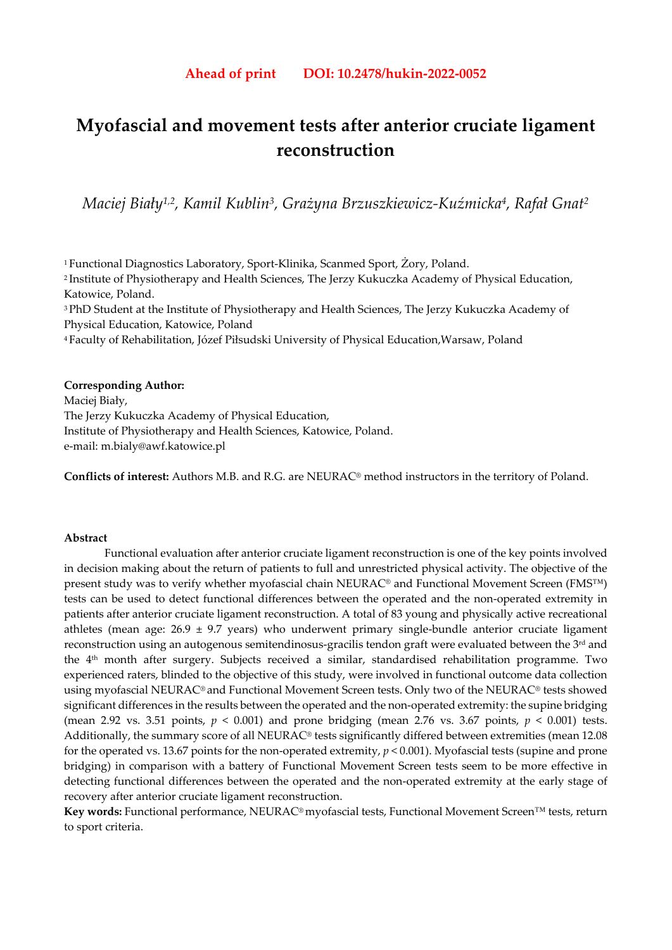# **Myofascial and movement tests after anterior cruciate ligament reconstruction**

*Maciej Biały1,2, Kamil Kublin3, Grażyna Brzuszkiewicz-Kuźmicka4, Rafał Gnat2* 

1 Functional Diagnostics Laboratory, Sport-Klinika, Scanmed Sport, Żory, Poland. 2 Institute of Physiotherapy and Health Sciences, The Jerzy Kukuczka Academy of Physical Education, Katowice, Poland. <sup>3</sup> PhD Student at the Institute of Physiotherapy and Health Sciences, The Jerzy Kukuczka Academy of

Physical Education, Katowice, Poland

4 Faculty of Rehabilitation, Józef Piłsudski University of Physical Education,Warsaw, Poland

## **Corresponding Author:**

Maciej Biały, The Jerzy Kukuczka Academy of Physical Education, Institute of Physiotherapy and Health Sciences, Katowice, Poland. e-mail: m.bialy@awf.katowice.pl

**Conflicts of interest:** Authors M.B. and R.G. are NEURAC® method instructors in the territory of Poland.

## **Abstract**

Functional evaluation after anterior cruciate ligament reconstruction is one of the key points involved in decision making about the return of patients to full and unrestricted physical activity. The objective of the present study was to verify whether myofascial chain NEURAC<sup>®</sup> and Functional Movement Screen (FMS™) tests can be used to detect functional differences between the operated and the non-operated extremity in patients after anterior cruciate ligament reconstruction. A total of 83 young and physically active recreational athletes (mean age:  $26.9 \pm 9.7$  years) who underwent primary single-bundle anterior cruciate ligament reconstruction using an autogenous semitendinosus-gracilis tendon graft were evaluated between the 3<sup>rd</sup> and the 4th month after surgery. Subjects received a similar, standardised rehabilitation programme. Two experienced raters, blinded to the objective of this study, were involved in functional outcome data collection using myofascial NEURAC® and Functional Movement Screen tests. Only two of the NEURAC® tests showed significant differences in the results between the operated and the non-operated extremity: the supine bridging (mean 2.92 vs. 3.51 points, *p* < 0.001) and prone bridging (mean 2.76 vs. 3.67 points, *p* < 0.001) tests. Additionally, the summary score of all NEURAC® tests significantly differed between extremities (mean 12.08 for the operated vs. 13.67 points for the non-operated extremity, *p* < 0.001). Myofascial tests (supine and prone bridging) in comparison with a battery of Functional Movement Screen tests seem to be more effective in detecting functional differences between the operated and the non-operated extremity at the early stage of recovery after anterior cruciate ligament reconstruction.

**Key words:** Functional performance, NEURAC® myofascial tests, Functional Movement Screen™ tests, return to sport criteria.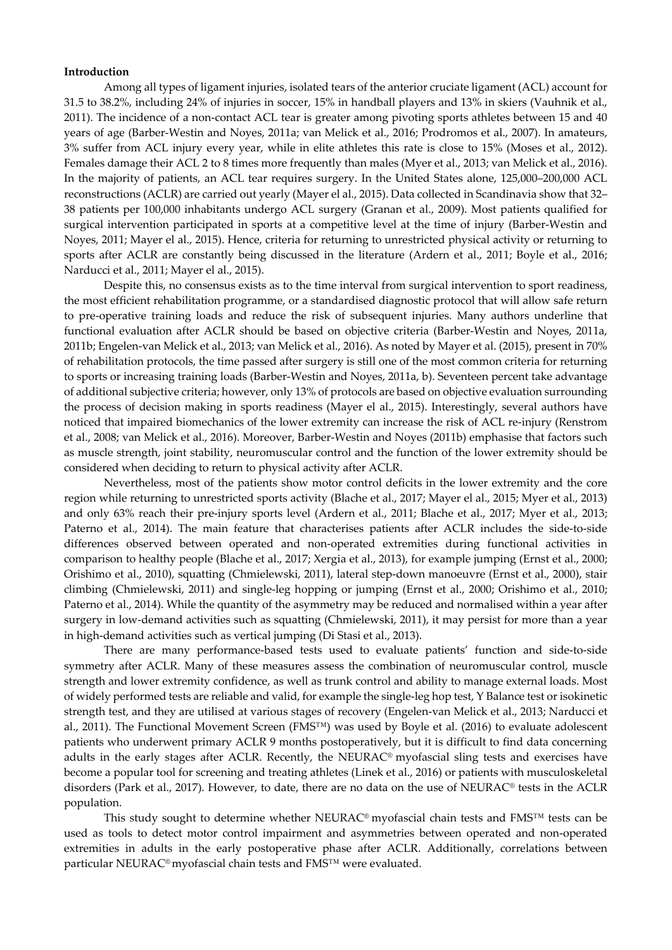#### **Introduction**

Among all types of ligament injuries, isolated tears of the anterior cruciate ligament (ACL) account for 31.5 to 38.2%, including 24% of injuries in soccer, 15% in handball players and 13% in skiers (Vauhnik et al., 2011). The incidence of a non-contact ACL tear is greater among pivoting sports athletes between 15 and 40 years of age (Barber-Westin and Noyes, 2011a; van Melick et al., 2016; Prodromos et al., 2007). In amateurs, 3% suffer from ACL injury every year, while in elite athletes this rate is close to 15% (Moses et al., 2012). Females damage their ACL 2 to 8 times more frequently than males (Myer et al., 2013; van Melick et al., 2016). In the majority of patients, an ACL tear requires surgery. In the United States alone, 125,000–200,000 ACL reconstructions (ACLR) are carried out yearly (Mayer el al., 2015). Data collected in Scandinavia show that 32– 38 patients per 100,000 inhabitants undergo ACL surgery (Granan et al., 2009). Most patients qualified for surgical intervention participated in sports at a competitive level at the time of injury (Barber-Westin and Noyes, 2011; Mayer el al., 2015). Hence, criteria for returning to unrestricted physical activity or returning to sports after ACLR are constantly being discussed in the literature (Ardern et al., 2011; Boyle et al., 2016; Narducci et al., 2011; Mayer el al., 2015).

Despite this, no consensus exists as to the time interval from surgical intervention to sport readiness, the most efficient rehabilitation programme, or a standardised diagnostic protocol that will allow safe return to pre-operative training loads and reduce the risk of subsequent injuries. Many authors underline that functional evaluation after ACLR should be based on objective criteria (Barber-Westin and Noyes, 2011a, 2011b; Engelen-van Melick et al., 2013; van Melick et al., 2016). As noted by Mayer et al. (2015), present in 70% of rehabilitation protocols, the time passed after surgery is still one of the most common criteria for returning to sports or increasing training loads (Barber-Westin and Noyes, 2011a, b). Seventeen percent take advantage of additional subjective criteria; however, only 13% of protocols are based on objective evaluation surrounding the process of decision making in sports readiness (Mayer el al., 2015). Interestingly, several authors have noticed that impaired biomechanics of the lower extremity can increase the risk of ACL re-injury (Renstrom et al., 2008; van Melick et al., 2016). Moreover, Barber-Westin and Noyes (2011b) emphasise that factors such as muscle strength, joint stability, neuromuscular control and the function of the lower extremity should be considered when deciding to return to physical activity after ACLR.

Nevertheless, most of the patients show motor control deficits in the lower extremity and the core region while returning to unrestricted sports activity (Blache et al., 2017; Mayer el al., 2015; Myer et al., 2013) and only 63% reach their pre-injury sports level (Ardern et al., 2011; Blache et al., 2017; Myer et al., 2013; Paterno et al., 2014). The main feature that characterises patients after ACLR includes the side-to-side differences observed between operated and non-operated extremities during functional activities in comparison to healthy people (Blache et al., 2017; Xergia et al., 2013), for example jumping (Ernst et al., 2000; Orishimo et al., 2010), squatting (Chmielewski, 2011), lateral step-down manoeuvre (Ernst et al., 2000), stair climbing (Chmielewski, 2011) and single-leg hopping or jumping (Ernst et al., 2000; Orishimo et al., 2010; Paterno et al., 2014). While the quantity of the asymmetry may be reduced and normalised within a year after surgery in low-demand activities such as squatting (Chmielewski, 2011), it may persist for more than a year in high-demand activities such as vertical jumping (Di Stasi et al., 2013).

There are many performance-based tests used to evaluate patients' function and side-to-side symmetry after ACLR. Many of these measures assess the combination of neuromuscular control, muscle strength and lower extremity confidence, as well as trunk control and ability to manage external loads. Most of widely performed tests are reliable and valid, for example the single-leg hop test, Y Balance test or isokinetic strength test, and they are utilised at various stages of recovery (Engelen-van Melick et al., 2013; Narducci et al., 2011). The Functional Movement Screen (FMS™) was used by Boyle et al. (2016) to evaluate adolescent patients who underwent primary ACLR 9 months postoperatively, but it is difficult to find data concerning adults in the early stages after ACLR. Recently, the NEURAC® myofascial sling tests and exercises have become a popular tool for screening and treating athletes (Linek et al., 2016) or patients with musculoskeletal disorders (Park et al., 2017). However, to date, there are no data on the use of NEURAC® tests in the ACLR population.

This study sought to determine whether NEURAC® myofascial chain tests and FMS™ tests can be used as tools to detect motor control impairment and asymmetries between operated and non-operated extremities in adults in the early postoperative phase after ACLR. Additionally, correlations between particular NEURAC® myofascial chain tests and FMS™ were evaluated.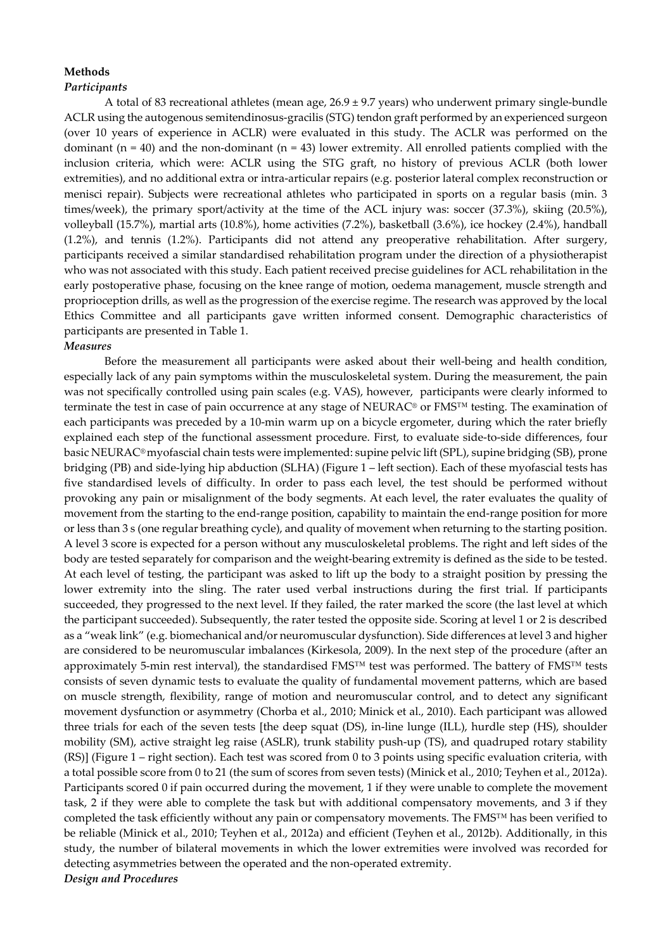## **Methods**  *Participants*

A total of 83 recreational athletes (mean age,  $26.9 \pm 9.7$  years) who underwent primary single-bundle ACLR using the autogenous semitendinosus-gracilis (STG) tendon graft performed by an experienced surgeon (over 10 years of experience in ACLR) were evaluated in this study. The ACLR was performed on the dominant ( $n = 40$ ) and the non-dominant ( $n = 43$ ) lower extremity. All enrolled patients complied with the inclusion criteria, which were: ACLR using the STG graft, no history of previous ACLR (both lower extremities), and no additional extra or intra-articular repairs (e.g. posterior lateral complex reconstruction or menisci repair). Subjects were recreational athletes who participated in sports on a regular basis (min. 3 times/week), the primary sport/activity at the time of the ACL injury was: soccer (37.3%), skiing (20.5%), volleyball (15.7%), martial arts (10.8%), home activities (7.2%), basketball (3.6%), ice hockey (2.4%), handball (1.2%), and tennis (1.2%). Participants did not attend any preoperative rehabilitation. After surgery, participants received a similar standardised rehabilitation program under the direction of a physiotherapist who was not associated with this study. Each patient received precise guidelines for ACL rehabilitation in the early postoperative phase, focusing on the knee range of motion, oedema management, muscle strength and proprioception drills, as well as the progression of the exercise regime. The research was approved by the local Ethics Committee and all participants gave written informed consent. Demographic characteristics of participants are presented in Table 1.

## *Measures*

Before the measurement all participants were asked about their well-being and health condition, especially lack of any pain symptoms within the musculoskeletal system. During the measurement, the pain was not specifically controlled using pain scales (e.g. VAS), however, participants were clearly informed to terminate the test in case of pain occurrence at any stage of NEURAC® or FMS™ testing. The examination of each participants was preceded by a 10-min warm up on a bicycle ergometer, during which the rater briefly explained each step of the functional assessment procedure. First, to evaluate side-to-side differences, four basic NEURAC® myofascial chain tests were implemented: supine pelvic lift (SPL), supine bridging (SB), prone bridging (PB) and side-lying hip abduction (SLHA) (Figure 1 – left section). Each of these myofascial tests has five standardised levels of difficulty. In order to pass each level, the test should be performed without provoking any pain or misalignment of the body segments. At each level, the rater evaluates the quality of movement from the starting to the end-range position, capability to maintain the end-range position for more or less than 3 s (one regular breathing cycle), and quality of movement when returning to the starting position. A level 3 score is expected for a person without any musculoskeletal problems. The right and left sides of the body are tested separately for comparison and the weight-bearing extremity is defined as the side to be tested. At each level of testing, the participant was asked to lift up the body to a straight position by pressing the lower extremity into the sling. The rater used verbal instructions during the first trial. If participants succeeded, they progressed to the next level. If they failed, the rater marked the score (the last level at which the participant succeeded). Subsequently, the rater tested the opposite side. Scoring at level 1 or 2 is described as a "weak link" (e.g. biomechanical and/or neuromuscular dysfunction). Side differences at level 3 and higher are considered to be neuromuscular imbalances (Kirkesola, 2009). In the next step of the procedure (after an approximately 5-min rest interval), the standardised FMS™ test was performed. The battery of FMS™ tests consists of seven dynamic tests to evaluate the quality of fundamental movement patterns, which are based on muscle strength, flexibility, range of motion and neuromuscular control, and to detect any significant movement dysfunction or asymmetry (Chorba et al., 2010; Minick et al., 2010). Each participant was allowed three trials for each of the seven tests [the deep squat (DS), in-line lunge (ILL), hurdle step (HS), shoulder mobility (SM), active straight leg raise (ASLR), trunk stability push-up (TS), and quadruped rotary stability (RS)] (Figure 1 – right section). Each test was scored from 0 to 3 points using specific evaluation criteria, with a total possible score from 0 to 21 (the sum of scores from seven tests) (Minick et al., 2010; Teyhen et al., 2012a). Participants scored 0 if pain occurred during the movement, 1 if they were unable to complete the movement task, 2 if they were able to complete the task but with additional compensatory movements, and 3 if they completed the task efficiently without any pain or compensatory movements. The FMS™ has been verified to be reliable (Minick et al., 2010; Teyhen et al., 2012a) and efficient (Teyhen et al., 2012b). Additionally, in this study, the number of bilateral movements in which the lower extremities were involved was recorded for detecting asymmetries between the operated and the non-operated extremity. *Design and Procedures*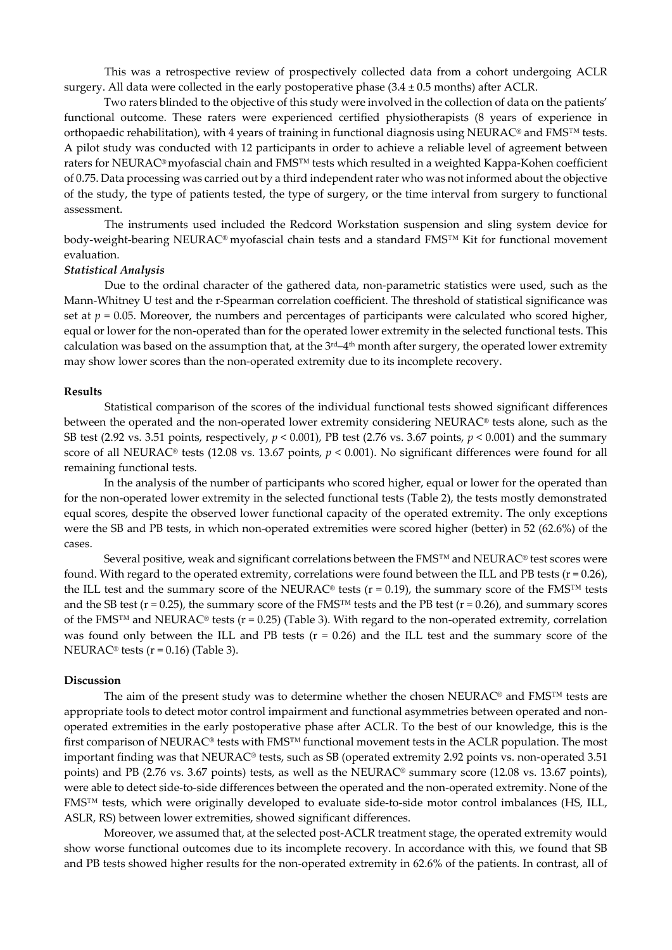This was a retrospective review of prospectively collected data from a cohort undergoing ACLR surgery. All data were collected in the early postoperative phase  $(3.4 \pm 0.5 \text{ months})$  after ACLR.

 Two raters blinded to the objective of this study were involved in the collection of data on the patients' functional outcome. These raters were experienced certified physiotherapists (8 years of experience in orthopaedic rehabilitation), with 4 years of training in functional diagnosis using NEURAC® and FMS™ tests. A pilot study was conducted with 12 participants in order to achieve a reliable level of agreement between raters for NEURAC® myofascial chain and FMS™ tests which resulted in a weighted Kappa-Kohen coefficient of 0.75. Data processing was carried out by a third independent rater who was not informed about the objective of the study, the type of patients tested, the type of surgery, or the time interval from surgery to functional assessment.

The instruments used included the Redcord Workstation suspension and sling system device for body-weight-bearing NEURAC® myofascial chain tests and a standard FMS™ Kit for functional movement evaluation.

## *Statistical Analysis*

Due to the ordinal character of the gathered data, non-parametric statistics were used, such as the Mann-Whitney U test and the r-Spearman correlation coefficient. The threshold of statistical significance was set at  $p = 0.05$ . Moreover, the numbers and percentages of participants were calculated who scored higher, equal or lower for the non-operated than for the operated lower extremity in the selected functional tests. This calculation was based on the assumption that, at the  $3<sup>rd</sup>-4<sup>th</sup>$  month after surgery, the operated lower extremity may show lower scores than the non-operated extremity due to its incomplete recovery.

### **Results**

Statistical comparison of the scores of the individual functional tests showed significant differences between the operated and the non-operated lower extremity considering NEURAC® tests alone, such as the SB test (2.92 vs. 3.51 points, respectively, *p* < 0.001), PB test (2.76 vs. 3.67 points, *p* < 0.001) and the summary score of all NEURAC® tests (12.08 vs. 13.67 points, *p* < 0.001). No significant differences were found for all remaining functional tests.

 In the analysis of the number of participants who scored higher, equal or lower for the operated than for the non-operated lower extremity in the selected functional tests (Table 2), the tests mostly demonstrated equal scores, despite the observed lower functional capacity of the operated extremity. The only exceptions were the SB and PB tests, in which non-operated extremities were scored higher (better) in 52 (62.6%) of the cases.

Several positive, weak and significant correlations between the FMS™ and NEURAC<sup>®</sup> test scores were found. With regard to the operated extremity, correlations were found between the ILL and PB tests ( $r = 0.26$ ), the ILL test and the summary score of the NEURAC® tests ( $r = 0.19$ ), the summary score of the FMS<sup>™</sup> tests and the SB test ( $r = 0.25$ ), the summary score of the FMS<sup>™</sup> tests and the PB test ( $r = 0.26$ ), and summary scores of the FMS<sup>™</sup> and NEURAC<sup>®</sup> tests (r = 0.25) (Table 3). With regard to the non-operated extremity, correlation was found only between the ILL and PB tests ( $r = 0.26$ ) and the ILL test and the summary score of the NEURAC<sup>®</sup> tests ( $r = 0.16$ ) (Table 3).

#### **Discussion**

The aim of the present study was to determine whether the chosen NEURAC® and FMS™ tests are appropriate tools to detect motor control impairment and functional asymmetries between operated and nonoperated extremities in the early postoperative phase after ACLR. To the best of our knowledge, this is the first comparison of NEURAC® tests with FMS™ functional movement tests in the ACLR population. The most important finding was that NEURAC® tests, such as SB (operated extremity 2.92 points vs. non-operated 3.51 points) and PB (2.76 vs. 3.67 points) tests, as well as the NEURAC® summary score (12.08 vs. 13.67 points), were able to detect side-to-side differences between the operated and the non-operated extremity. None of the FMS™ tests, which were originally developed to evaluate side-to-side motor control imbalances (HS, ILL, ASLR, RS) between lower extremities, showed significant differences.

Moreover, we assumed that, at the selected post-ACLR treatment stage, the operated extremity would show worse functional outcomes due to its incomplete recovery. In accordance with this, we found that SB and PB tests showed higher results for the non-operated extremity in 62.6% of the patients. In contrast, all of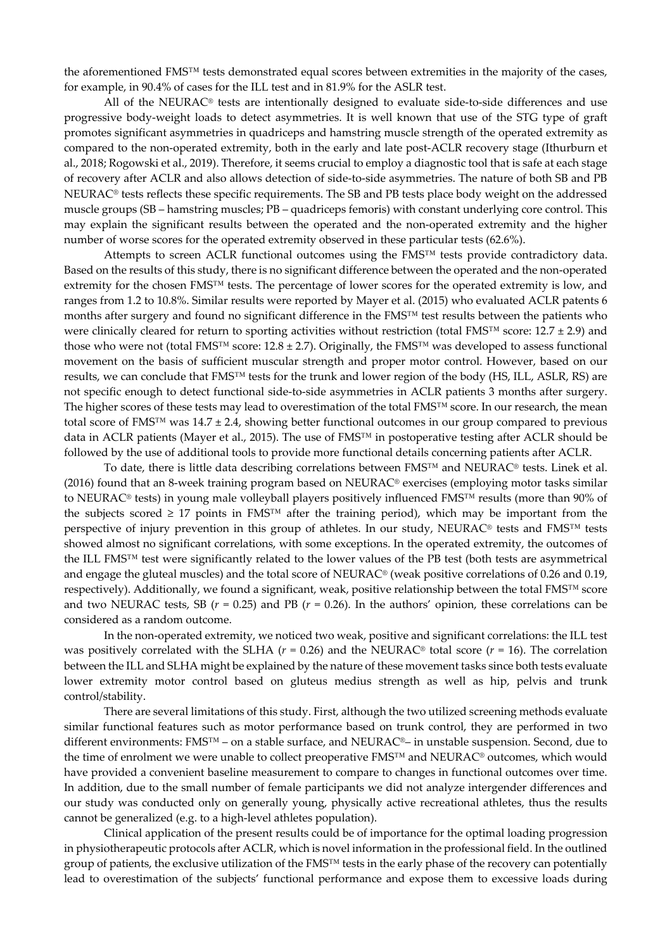the aforementioned FMS™ tests demonstrated equal scores between extremities in the majority of the cases, for example, in 90.4% of cases for the ILL test and in 81.9% for the ASLR test.

All of the NEURAC® tests are intentionally designed to evaluate side-to-side differences and use progressive body-weight loads to detect asymmetries. It is well known that use of the STG type of graft promotes significant asymmetries in quadriceps and hamstring muscle strength of the operated extremity as compared to the non-operated extremity, both in the early and late post-ACLR recovery stage (Ithurburn et al., 2018; Rogowski et al., 2019). Therefore, it seems crucial to employ a diagnostic tool that is safe at each stage of recovery after ACLR and also allows detection of side-to-side asymmetries. The nature of both SB and PB NEURAC® tests reflects these specific requirements. The SB and PB tests place body weight on the addressed muscle groups (SB – hamstring muscles; PB – quadriceps femoris) with constant underlying core control. This may explain the significant results between the operated and the non-operated extremity and the higher number of worse scores for the operated extremity observed in these particular tests (62.6%).

Attempts to screen ACLR functional outcomes using the FMS™ tests provide contradictory data. Based on the results of this study, there is no significant difference between the operated and the non-operated extremity for the chosen FMS™ tests. The percentage of lower scores for the operated extremity is low, and ranges from 1.2 to 10.8%. Similar results were reported by Mayer et al. (2015) who evaluated ACLR patents 6 months after surgery and found no significant difference in the FMS™ test results between the patients who were clinically cleared for return to sporting activities without restriction (total FMS<sup>™</sup> score: 12.7 ± 2.9) and those who were not (total FMS<sup>™</sup> score:  $12.8 \pm 2.7$ ). Originally, the FMS<sup>™</sup> was developed to assess functional movement on the basis of sufficient muscular strength and proper motor control. However, based on our results, we can conclude that FMS™ tests for the trunk and lower region of the body (HS, ILL, ASLR, RS) are not specific enough to detect functional side-to-side asymmetries in ACLR patients 3 months after surgery. The higher scores of these tests may lead to overestimation of the total FMS™ score. In our research, the mean total score of FMS<sup>™</sup> was  $14.7 \pm 2.4$ , showing better functional outcomes in our group compared to previous data in ACLR patients (Mayer et al., 2015). The use of FMS™ in postoperative testing after ACLR should be followed by the use of additional tools to provide more functional details concerning patients after ACLR.

To date, there is little data describing correlations between FMS™ and NEURAC® tests. Linek et al. (2016) found that an 8-week training program based on NEURAC® exercises (employing motor tasks similar to NEURAC® tests) in young male volleyball players positively influenced FMS™ results (more than 90% of the subjects scored  $\geq 17$  points in FMS<sup>™</sup> after the training period), which may be important from the perspective of injury prevention in this group of athletes. In our study, NEURAC® tests and FMS™ tests showed almost no significant correlations, with some exceptions. In the operated extremity, the outcomes of the ILL FMS™ test were significantly related to the lower values of the PB test (both tests are asymmetrical and engage the gluteal muscles) and the total score of NEURAC® (weak positive correlations of 0.26 and 0.19, respectively). Additionally, we found a significant, weak, positive relationship between the total FMS™ score and two NEURAC tests, SB  $(r = 0.25)$  and PB  $(r = 0.26)$ . In the authors' opinion, these correlations can be considered as a random outcome.

In the non-operated extremity, we noticed two weak, positive and significant correlations: the ILL test was positively correlated with the SLHA ( $r = 0.26$ ) and the NEURAC<sup>®</sup> total score ( $r = 16$ ). The correlation between the ILL and SLHA might be explained by the nature of these movement tasks since both tests evaluate lower extremity motor control based on gluteus medius strength as well as hip, pelvis and trunk control/stability.

There are several limitations of this study. First, although the two utilized screening methods evaluate similar functional features such as motor performance based on trunk control, they are performed in two different environments: FMS™ – on a stable surface, and NEURAC®– in unstable suspension. Second, due to the time of enrolment we were unable to collect preoperative FMS™ and NEURAC® outcomes, which would have provided a convenient baseline measurement to compare to changes in functional outcomes over time. In addition, due to the small number of female participants we did not analyze intergender differences and our study was conducted only on generally young, physically active recreational athletes, thus the results cannot be generalized (e.g. to a high-level athletes population).

Clinical application of the present results could be of importance for the optimal loading progression in physiotherapeutic protocols after ACLR, which is novel information in the professional field. In the outlined group of patients, the exclusive utilization of the FMS™ tests in the early phase of the recovery can potentially lead to overestimation of the subjects' functional performance and expose them to excessive loads during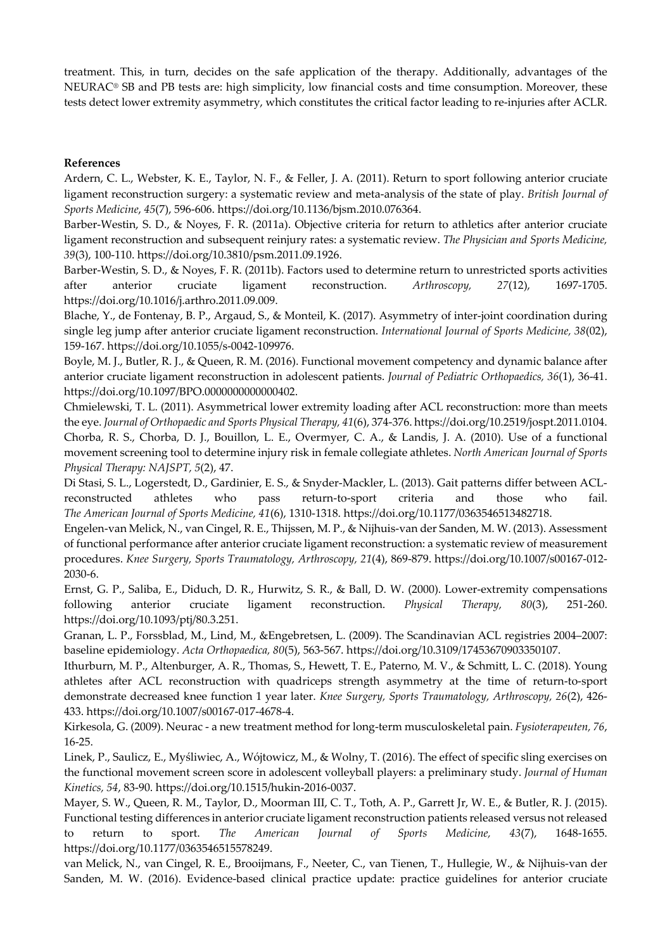treatment. This, in turn, decides on the safe application of the therapy. Additionally, advantages of the NEURAC® SB and PB tests are: high simplicity, low financial costs and time consumption. Moreover, these tests detect lower extremity asymmetry, which constitutes the critical factor leading to re-injuries after ACLR.

## **References**

Ardern, C. L., Webster, K. E., Taylor, N. F., & Feller, J. A. (2011). Return to sport following anterior cruciate ligament reconstruction surgery: a systematic review and meta-analysis of the state of play. *British Journal of Sports Medicine*, *45*(7), 596-606. https://doi.org/10.1136/bjsm.2010.076364.

Barber-Westin, S. D., & Noyes, F. R. (2011a). Objective criteria for return to athletics after anterior cruciate ligament reconstruction and subsequent reinjury rates: a systematic review. *The Physician and Sports Medicine, 39*(3), 100-110. https://doi.org/10.3810/psm.2011.09.1926.

Barber-Westin, S. D., & Noyes, F. R. (2011b). Factors used to determine return to unrestricted sports activities after anterior cruciate ligament reconstruction. *Arthroscopy, 27*(12), 1697-1705. https://doi.org/10.1016/j.arthro.2011.09.009.

Blache, Y., de Fontenay, B. P., Argaud, S., & Monteil, K. (2017). Asymmetry of inter-joint coordination during single leg jump after anterior cruciate ligament reconstruction. *International Journal of Sports Medicine, 38*(02), 159-167. https://doi.org/10.1055/s-0042-109976.

Boyle, M. J., Butler, R. J., & Queen, R. M. (2016). Functional movement competency and dynamic balance after anterior cruciate ligament reconstruction in adolescent patients. *Journal of Pediatric Orthopaedics, 36*(1), 36-41. https://doi.org/10.1097/BPO.0000000000000402.

Chmielewski, T. L. (2011). Asymmetrical lower extremity loading after ACL reconstruction: more than meets the eye. *Journal of Orthopaedic and Sports Physical Therapy, 41*(6), 374-376. https://doi.org/10.2519/jospt.2011.0104. Chorba, R. S., Chorba, D. J., Bouillon, L. E., Overmyer, C. A., & Landis, J. A. (2010). Use of a functional movement screening tool to determine injury risk in female collegiate athletes. *North American Journal of Sports Physical Therapy: NAJSPT, 5*(2), 47.

Di Stasi, S. L., Logerstedt, D., Gardinier, E. S., & Snyder-Mackler, L. (2013). Gait patterns differ between ACLreconstructed athletes who pass return-to-sport criteria and those who fail. *The American Journal of Sports Medicine, 41*(6), 1310-1318. https://doi.org/10.1177/0363546513482718.

Engelen-van Melick, N., van Cingel, R. E., Thijssen, M. P., & Nijhuis-van der Sanden, M. W. (2013). Assessment of functional performance after anterior cruciate ligament reconstruction: a systematic review of measurement procedures. *Knee Surgery, Sports Traumatology, Arthroscopy, 21*(4), 869-879. https://doi.org/10.1007/s00167-012- 2030-6.

Ernst, G. P., Saliba, E., Diduch, D. R., Hurwitz, S. R., & Ball, D. W. (2000). Lower-extremity compensations following anterior cruciate ligament reconstruction. *Physical Therapy, 80*(3), 251-260. https://doi.org/10.1093/ptj/80.3.251.

Granan, L. P., Forssblad, M., Lind, M., &Engebretsen, L. (2009). The Scandinavian ACL registries 2004–2007: baseline epidemiology. *Acta Orthopaedica, 80*(5), 563-567. https://doi.org/10.3109/17453670903350107.

Ithurburn, M. P., Altenburger, A. R., Thomas, S., Hewett, T. E., Paterno, M. V., & Schmitt, L. C. (2018). Young athletes after ACL reconstruction with quadriceps strength asymmetry at the time of return-to-sport demonstrate decreased knee function 1 year later. *Knee Surgery, Sports Traumatology, Arthroscopy, 26*(2), 426- 433. https://doi.org/10.1007/s00167-017-4678-4.

Kirkesola, G. (2009). Neurac - a new treatment method for long-term musculoskeletal pain. *Fysioterapeuten, 76*, 16-25.

Linek, P., Saulicz, E., Myśliwiec, A., Wójtowicz, M., & Wolny, T. (2016). The effect of specific sling exercises on the functional movement screen score in adolescent volleyball players: a preliminary study. *Journal of Human Kinetics, 54*, 83-90. https://doi.org/10.1515/hukin-2016-0037.

Mayer, S. W., Queen, R. M., Taylor, D., Moorman III, C. T., Toth, A. P., Garrett Jr, W. E., & Butler, R. J. (2015). Functional testing differences in anterior cruciate ligament reconstruction patients released versus not released to return to sport. *The American Journal of Sports Medicine, 43*(7), 1648-1655. https://doi.org/10.1177/0363546515578249.

van Melick, N., van Cingel, R. E., Brooijmans, F., Neeter, C., van Tienen, T., Hullegie, W., & Nijhuis-van der Sanden, M. W. (2016). Evidence-based clinical practice update: practice guidelines for anterior cruciate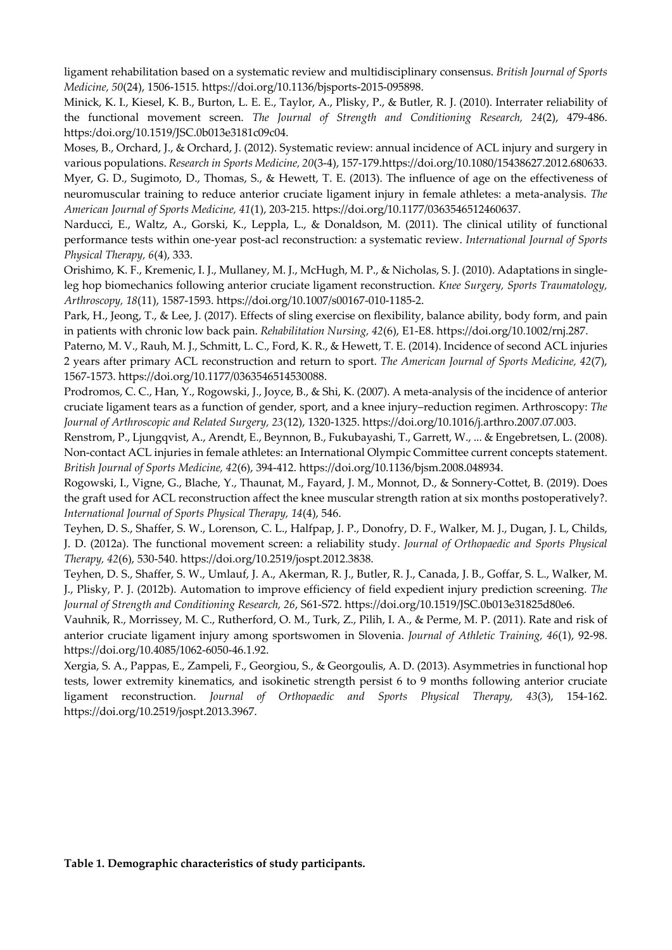ligament rehabilitation based on a systematic review and multidisciplinary consensus. *British Journal of Sports Medicine, 50*(24), 1506-1515. https://doi.org/10.1136/bjsports-2015-095898.

Minick, K. I., Kiesel, K. B., Burton, L. E. E., Taylor, A., Plisky, P., & Butler, R. J. (2010). Interrater reliability of the functional movement screen. *The Journal of Strength and Conditioning Research, 24*(2), 479-486. https:/doi.org/10.1519/JSC.0b013e3181c09c04.

Moses, B., Orchard, J., & Orchard, J. (2012). Systematic review: annual incidence of ACL injury and surgery in various populations. *Research in Sports Medicine, 20*(3-4), 157-179.https://doi.org/10.1080/15438627.2012.680633. Myer, G. D., Sugimoto, D., Thomas, S., & Hewett, T. E. (2013). The influence of age on the effectiveness of neuromuscular training to reduce anterior cruciate ligament injury in female athletes: a meta-analysis. *The American Journal of Sports Medicine, 41*(1), 203-215. https://doi.org/10.1177/0363546512460637.

Narducci, E., Waltz, A., Gorski, K., Leppla, L., & Donaldson, M. (2011). The clinical utility of functional performance tests within one-year post-acl reconstruction: a systematic review. *International Journal of Sports Physical Therapy, 6*(4), 333.

Orishimo, K. F., Kremenic, I. J., Mullaney, M. J., McHugh, M. P., & Nicholas, S. J. (2010). Adaptations in singleleg hop biomechanics following anterior cruciate ligament reconstruction. *Knee Surgery, Sports Traumatology, Arthroscopy, 18*(11), 1587-1593. https://doi.org/10.1007/s00167-010-1185-2.

Park, H., Jeong, T., & Lee, J. (2017). Effects of sling exercise on flexibility, balance ability, body form, and pain in patients with chronic low back pain. *Rehabilitation Nursing, 42*(6), E1-E8. https://doi.org/10.1002/rnj.287.

Paterno, M. V., Rauh, M. J., Schmitt, L. C., Ford, K. R., & Hewett, T. E. (2014). Incidence of second ACL injuries 2 years after primary ACL reconstruction and return to sport. *The American Journal of Sports Medicine, 42*(7), 1567-1573. https://doi.org/10.1177/0363546514530088.

Prodromos, C. C., Han, Y., Rogowski, J., Joyce, B., & Shi, K. (2007). A meta-analysis of the incidence of anterior cruciate ligament tears as a function of gender, sport, and a knee injury–reduction regimen. Arthroscopy: *The Journal of Arthroscopic and Related Surgery, 23*(12), 1320-1325. https://doi.org/10.1016/j.arthro.2007.07.003.

Renstrom, P., Ljungqvist, A., Arendt, E., Beynnon, B., Fukubayashi, T., Garrett, W., ... & Engebretsen, L. (2008). Non-contact ACL injuries in female athletes: an International Olympic Committee current concepts statement. *British Journal of Sports Medicine, 42*(6), 394-412. https://doi.org/10.1136/bjsm.2008.048934.

Rogowski, I., Vigne, G., Blache, Y., Thaunat, M., Fayard, J. M., Monnot, D., & Sonnery-Cottet, B. (2019). Does the graft used for ACL reconstruction affect the knee muscular strength ration at six months postoperatively?. *International Journal of Sports Physical Therapy, 14*(4), 546.

Teyhen, D. S., Shaffer, S. W., Lorenson, C. L., Halfpap, J. P., Donofry, D. F., Walker, M. J., Dugan, J. L, Childs, J. D. (2012a). The functional movement screen: a reliability study. *Journal of Orthopaedic and Sports Physical Therapy, 42*(6), 530-540. https://doi.org/10.2519/jospt.2012.3838.

Teyhen, D. S., Shaffer, S. W., Umlauf, J. A., Akerman, R. J., Butler, R. J., Canada, J. B., Goffar, S. L., Walker, M. J., Plisky, P. J. (2012b). Automation to improve efficiency of field expedient injury prediction screening. *The Journal of Strength and Conditioning Research, 26*, S61-S72. https://doi.org/10.1519/JSC.0b013e31825d80e6.

Vauhnik, R., Morrissey, M. C., Rutherford, O. M., Turk, Z., Pilih, I. A., & Perme, M. P. (2011). Rate and risk of anterior cruciate ligament injury among sportswomen in Slovenia. *Journal of Athletic Training, 46*(1), 92-98. https://doi.org/10.4085/1062-6050-46.1.92.

Xergia, S. A., Pappas, E., Zampeli, F., Georgiou, S., & Georgoulis, A. D. (2013). Asymmetries in functional hop tests, lower extremity kinematics, and isokinetic strength persist 6 to 9 months following anterior cruciate ligament reconstruction. *Journal of Orthopaedic and Sports Physical Therapy, 43*(3), 154-162. https://doi.org/10.2519/jospt.2013.3967.

**Table 1. Demographic characteristics of study participants.**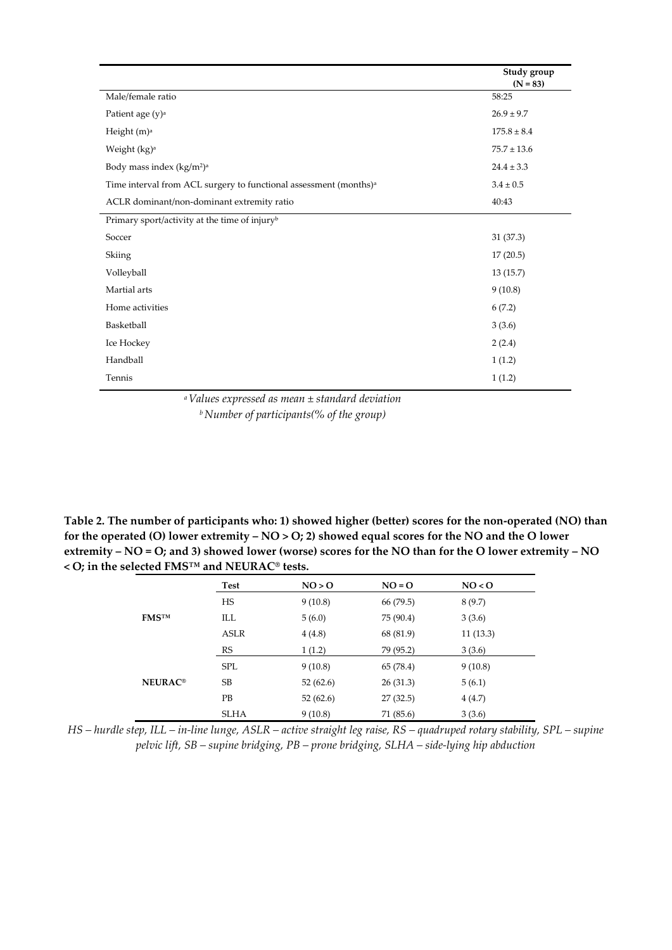|                                                                               | Study group<br>$(N = 83)$ |
|-------------------------------------------------------------------------------|---------------------------|
| Male/female ratio                                                             | 58:25                     |
| Patient age $(y)$ <sup>a</sup>                                                | $26.9 \pm 9.7$            |
| Height (m) <sup>a</sup>                                                       | $175.8 \pm 8.4$           |
| Weight (kg) <sup>a</sup>                                                      | $75.7 \pm 13.6$           |
| Body mass index $(kg/m2)a$                                                    | $24.4 \pm 3.3$            |
| Time interval from ACL surgery to functional assessment (months) <sup>a</sup> | $3.4 \pm 0.5$             |
| ACLR dominant/non-dominant extremity ratio                                    | 40:43                     |
| Primary sport/activity at the time of injury <sup>b</sup>                     |                           |
| Soccer                                                                        | 31 (37.3)                 |
| Skiing                                                                        | 17(20.5)                  |
| Volleyball                                                                    | 13(15.7)                  |
| Martial arts                                                                  | 9(10.8)                   |
| Home activities                                                               | 6(7.2)                    |
| Basketball                                                                    | 3(3.6)                    |
| Ice Hockey                                                                    | 2(2.4)                    |
| Handball                                                                      | 1(1.2)                    |
| Tennis                                                                        | 1(1.2)                    |

*a Values expressed as mean ± standard deviation b Number of participants(% of the group)*

**Table 2. The number of participants who: 1) showed higher (better) scores for the non-operated (NO) than for the operated (O) lower extremity – NO > O; 2) showed equal scores for the NO and the O lower extremity – NO = O; and 3) showed lower (worse) scores for the NO than for the O lower extremity – NO < O; in the selected FMS™ and NEURAC® tests.** 

|                           | Test        | NO > O   | $NO = O$  | NO < 0   |  |
|---------------------------|-------------|----------|-----------|----------|--|
|                           | HS          | 9(10.8)  | 66 (79.5) | 8(9.7)   |  |
| <b>FMSTM</b>              | ILL         | 5(6.0)   | 75 (90.4) | 3(3.6)   |  |
|                           | <b>ASLR</b> | 4(4.8)   | 68 (81.9) | 11(13.3) |  |
|                           | RS          | 1(1.2)   | 79 (95.2) | 3(3.6)   |  |
|                           | <b>SPL</b>  | 9(10.8)  | 65 (78.4) | 9(10.8)  |  |
| <b>NEURAC<sup>®</sup></b> | SB          | 52(62.6) | 26(31.3)  | 5(6.1)   |  |
|                           | <b>PB</b>   | 52(62.6) | 27(32.5)  | 4(4.7)   |  |
|                           | <b>SLHA</b> | 9(10.8)  | 71 (85.6) | 3(3.6)   |  |

*HS – hurdle step, ILL – in-line lunge, ASLR – active straight leg raise, RS – quadruped rotary stability, SPL – supine pelvic lift, SB – supine bridging, PB – prone bridging, SLHA – side-lying hip abduction*